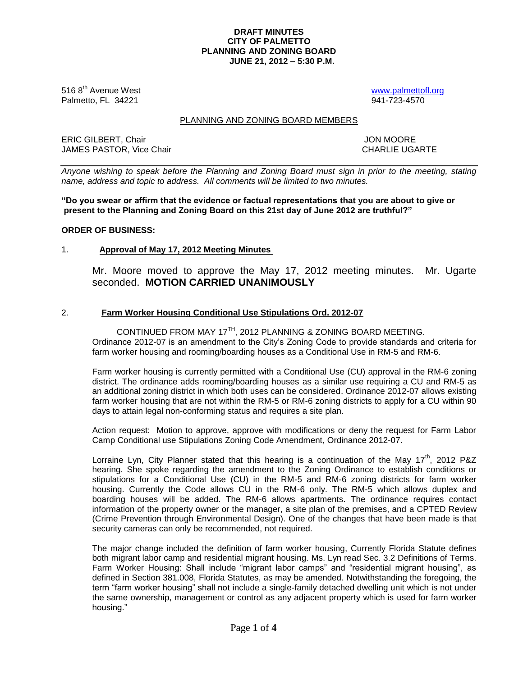## **DRAFT MINUTES CITY OF PALMETTO PLANNING AND ZONING BOARD JUNE 21, 2012 – 5:30 P.M.**

516 8<sup>th</sup> Avenue West **by a struck [www.palmettofl.org](http://www.palmettofl.org/)** Palmetto, FL 34221 941-723-4570

## PLANNING AND ZONING BOARD MEMBERS

ERIC GILBERT, Chair JON MOORE JAMES PASTOR. Vice Chair **CHARLIE UGARTE** 

*Anyone wishing to speak before the Planning and Zoning Board must sign in prior to the meeting, stating name, address and topic to address. All comments will be limited to two minutes.*

**"Do you swear or affirm that the evidence or factual representations that you are about to give or present to the Planning and Zoning Board on this 21st day of June 2012 are truthful?"**

## **ORDER OF BUSINESS:**

## 1. **Approval of May 17, 2012 Meeting Minutes**

Mr. Moore moved to approve the May 17, 2012 meeting minutes. Mr. Ugarte seconded. **MOTION CARRIED UNANIMOUSLY**

## 2. **Farm Worker Housing Conditional Use Stipulations Ord. 2012-07**

CONTINUED FROM MAY 17TH, 2012 PLANNING & ZONING BOARD MEETING. Ordinance 2012-07 is an amendment to the City's Zoning Code to provide standards and criteria for farm worker housing and rooming/boarding houses as a Conditional Use in RM-5 and RM-6.

Farm worker housing is currently permitted with a Conditional Use (CU) approval in the RM-6 zoning district. The ordinance adds rooming/boarding houses as a similar use requiring a CU and RM-5 as an additional zoning district in which both uses can be considered. Ordinance 2012-07 allows existing farm worker housing that are not within the RM-5 or RM-6 zoning districts to apply for a CU within 90 days to attain legal non-conforming status and requires a site plan.

Action request: Motion to approve, approve with modifications or deny the request for Farm Labor Camp Conditional use Stipulations Zoning Code Amendment, Ordinance 2012-07.

Lorraine Lyn, City Planner stated that this hearing is a continuation of the May  $17<sup>th</sup>$ , 2012 P&Z hearing. She spoke regarding the amendment to the Zoning Ordinance to establish conditions or stipulations for a Conditional Use (CU) in the RM-5 and RM-6 zoning districts for farm worker housing. Currently the Code allows CU in the RM-6 only. The RM-5 which allows duplex and boarding houses will be added. The RM-6 allows apartments. The ordinance requires contact information of the property owner or the manager, a site plan of the premises, and a CPTED Review (Crime Prevention through Environmental Design). One of the changes that have been made is that security cameras can only be recommended, not required.

The major change included the definition of farm worker housing, Currently Florida Statute defines both migrant labor camp and residential migrant housing. Ms. Lyn read Sec. 3.2 Definitions of Terms. Farm Worker Housing: Shall include "migrant labor camps" and "residential migrant housing", as defined in Section 381.008, Florida Statutes, as may be amended. Notwithstanding the foregoing, the term "farm worker housing" shall not include a single-family detached dwelling unit which is not under the same ownership, management or control as any adjacent property which is used for farm worker housing."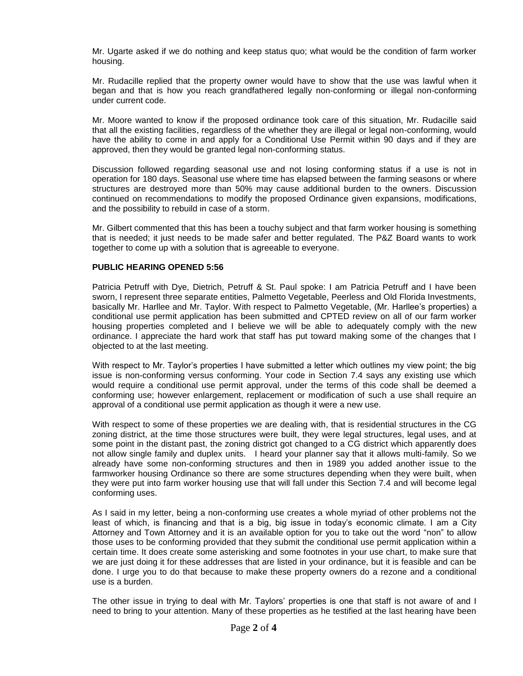Mr. Ugarte asked if we do nothing and keep status quo; what would be the condition of farm worker housing.

Mr. Rudacille replied that the property owner would have to show that the use was lawful when it began and that is how you reach grandfathered legally non-conforming or illegal non-conforming under current code.

Mr. Moore wanted to know if the proposed ordinance took care of this situation, Mr. Rudacille said that all the existing facilities, regardless of the whether they are illegal or legal non-conforming, would have the ability to come in and apply for a Conditional Use Permit within 90 days and if they are approved, then they would be granted legal non-conforming status.

Discussion followed regarding seasonal use and not losing conforming status if a use is not in operation for 180 days. Seasonal use where time has elapsed between the farming seasons or where structures are destroyed more than 50% may cause additional burden to the owners. Discussion continued on recommendations to modify the proposed Ordinance given expansions, modifications, and the possibility to rebuild in case of a storm.

Mr. Gilbert commented that this has been a touchy subject and that farm worker housing is something that is needed; it just needs to be made safer and better regulated. The P&Z Board wants to work together to come up with a solution that is agreeable to everyone.

# **PUBLIC HEARING OPENED 5:56**

Patricia Petruff with Dye, Dietrich, Petruff & St. Paul spoke: I am Patricia Petruff and I have been sworn, I represent three separate entities, Palmetto Vegetable, Peerless and Old Florida Investments, basically Mr. Harllee and Mr. Taylor. With respect to Palmetto Vegetable, (Mr. Harllee's properties) a conditional use permit application has been submitted and CPTED review on all of our farm worker housing properties completed and I believe we will be able to adequately comply with the new ordinance. I appreciate the hard work that staff has put toward making some of the changes that I objected to at the last meeting.

With respect to Mr. Taylor's properties I have submitted a letter which outlines my view point; the big issue is non-conforming versus conforming. Your code in Section 7.4 says any existing use which would require a conditional use permit approval, under the terms of this code shall be deemed a conforming use; however enlargement, replacement or modification of such a use shall require an approval of a conditional use permit application as though it were a new use.

With respect to some of these properties we are dealing with, that is residential structures in the CG zoning district, at the time those structures were built, they were legal structures, legal uses, and at some point in the distant past, the zoning district got changed to a CG district which apparently does not allow single family and duplex units. I heard your planner say that it allows multi-family. So we already have some non-conforming structures and then in 1989 you added another issue to the farmworker housing Ordinance so there are some structures depending when they were built, when they were put into farm worker housing use that will fall under this Section 7.4 and will become legal conforming uses.

As I said in my letter, being a non-conforming use creates a whole myriad of other problems not the least of which, is financing and that is a big, big issue in today's economic climate. I am a City Attorney and Town Attorney and it is an available option for you to take out the word "non" to allow those uses to be conforming provided that they submit the conditional use permit application within a certain time. It does create some asterisking and some footnotes in your use chart, to make sure that we are just doing it for these addresses that are listed in your ordinance, but it is feasible and can be done. I urge you to do that because to make these property owners do a rezone and a conditional use is a burden.

The other issue in trying to deal with Mr. Taylors' properties is one that staff is not aware of and I need to bring to your attention. Many of these properties as he testified at the last hearing have been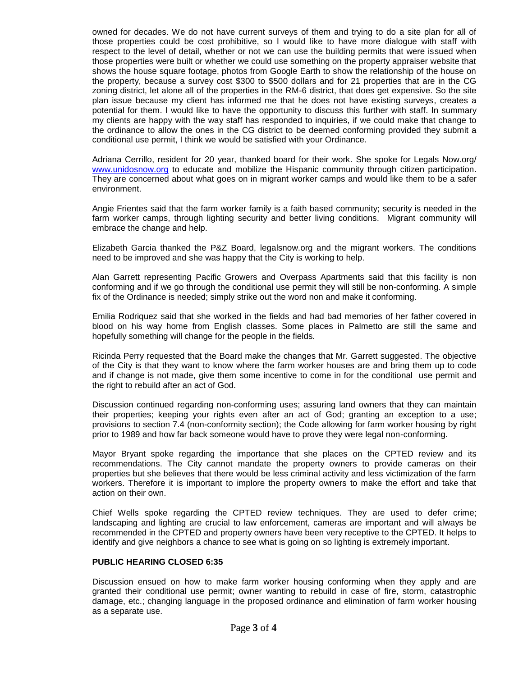owned for decades. We do not have current surveys of them and trying to do a site plan for all of those properties could be cost prohibitive, so I would like to have more dialogue with staff with respect to the level of detail, whether or not we can use the building permits that were issued when those properties were built or whether we could use something on the property appraiser website that shows the house square footage, photos from Google Earth to show the relationship of the house on the property, because a survey cost \$300 to \$500 dollars and for 21 properties that are in the CG zoning district, let alone all of the properties in the RM-6 district, that does get expensive. So the site plan issue because my client has informed me that he does not have existing surveys, creates a potential for them. I would like to have the opportunity to discuss this further with staff. In summary my clients are happy with the way staff has responded to inquiries, if we could make that change to the ordinance to allow the ones in the CG district to be deemed conforming provided they submit a conditional use permit, I think we would be satisfied with your Ordinance.

Adriana Cerrillo, resident for 20 year, thanked board for their work. She spoke for Legals Now.org/ [www.unidosnow.org](http://www.unidosnow.org/) to educate and mobilize the Hispanic community through citizen participation. They are concerned about what goes on in migrant worker camps and would like them to be a safer environment.

Angie Frientes said that the farm worker family is a faith based community; security is needed in the farm worker camps, through lighting security and better living conditions. Migrant community will embrace the change and help.

Elizabeth Garcia thanked the P&Z Board, legalsnow.org and the migrant workers. The conditions need to be improved and she was happy that the City is working to help.

Alan Garrett representing Pacific Growers and Overpass Apartments said that this facility is non conforming and if we go through the conditional use permit they will still be non-conforming. A simple fix of the Ordinance is needed; simply strike out the word non and make it conforming.

Emilia Rodriquez said that she worked in the fields and had bad memories of her father covered in blood on his way home from English classes. Some places in Palmetto are still the same and hopefully something will change for the people in the fields.

Ricinda Perry requested that the Board make the changes that Mr. Garrett suggested. The objective of the City is that they want to know where the farm worker houses are and bring them up to code and if change is not made, give them some incentive to come in for the conditional use permit and the right to rebuild after an act of God.

Discussion continued regarding non-conforming uses; assuring land owners that they can maintain their properties; keeping your rights even after an act of God; granting an exception to a use; provisions to section 7.4 (non-conformity section); the Code allowing for farm worker housing by right prior to 1989 and how far back someone would have to prove they were legal non-conforming.

Mayor Bryant spoke regarding the importance that she places on the CPTED review and its recommendations. The City cannot mandate the property owners to provide cameras on their properties but she believes that there would be less criminal activity and less victimization of the farm workers. Therefore it is important to implore the property owners to make the effort and take that action on their own.

Chief Wells spoke regarding the CPTED review techniques. They are used to defer crime; landscaping and lighting are crucial to law enforcement, cameras are important and will always be recommended in the CPTED and property owners have been very receptive to the CPTED. It helps to identify and give neighbors a chance to see what is going on so lighting is extremely important.

## **PUBLIC HEARING CLOSED 6:35**

Discussion ensued on how to make farm worker housing conforming when they apply and are granted their conditional use permit; owner wanting to rebuild in case of fire, storm, catastrophic damage, etc.; changing language in the proposed ordinance and elimination of farm worker housing as a separate use.